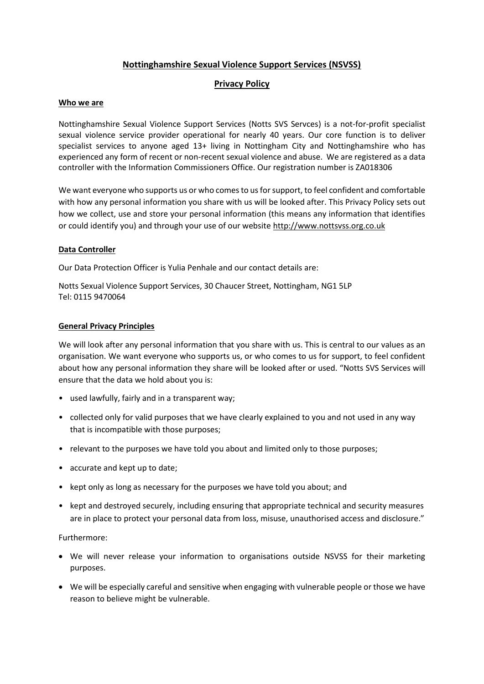# **Nottinghamshire Sexual Violence Support Services (NSVSS)**

# **Privacy Policy**

### **Who we are**

Nottinghamshire Sexual Violence Support Services (Notts SVS Servces) is a not-for-profit specialist sexual violence service provider operational for nearly 40 years. Our core function is to deliver specialist services to anyone aged 13+ living in Nottingham City and Nottinghamshire who has experienced any form of recent or non-recent sexual violence and abuse. We are registered as a data controller with the Information Commissioners Office. Our registration number is ZA018306

We want everyone who supports us or who comes to us for support, to feel confident and comfortable with how any personal information you share with us will be looked after. This Privacy Policy sets out how we collect, use and store your personal information (this means any information that identifies or could identify you) and through your use of our website [http://www.nottsvss.org.co.uk](http://www.nottsvss.org.co.uk/)

## **Data Controller**

Our Data Protection Officer is Yulia Penhale and our contact details are:

Notts Sexual Violence Support Services, 30 Chaucer Street, Nottingham, NG1 5LP Tel: 0115 9470064

## **General Privacy Principles**

We will look after any personal information that you share with us. This is central to our values as an organisation. We want everyone who supports us, or who comes to us for support, to feel confident about how any personal information they share will be looked after or used. "Notts SVS Services will ensure that the data we hold about you is:

- used lawfully, fairly and in a transparent way;
- collected only for valid purposes that we have clearly explained to you and not used in any way that is incompatible with those purposes;
- relevant to the purposes we have told you about and limited only to those purposes;
- accurate and kept up to date;
- kept only as long as necessary for the purposes we have told you about; and
- kept and destroyed securely, including ensuring that appropriate technical and security measures are in place to protect your personal data from loss, misuse, unauthorised access and disclosure."

### Furthermore:

- We will never release your information to organisations outside NSVSS for their marketing purposes.
- We will be especially careful and sensitive when engaging with vulnerable people or those we have reason to believe might be vulnerable.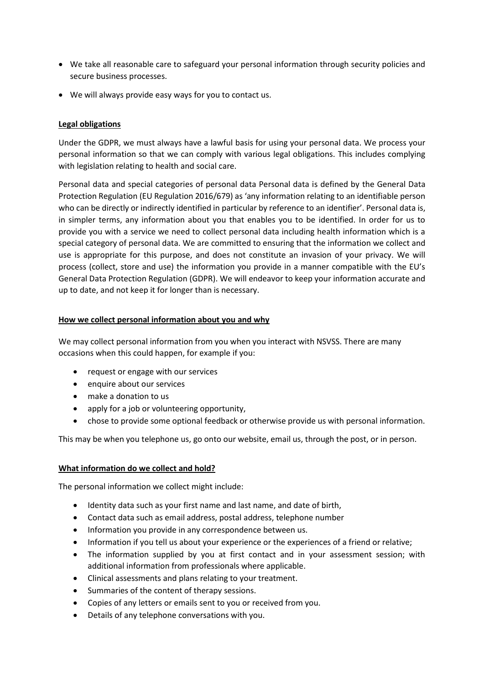- We take all reasonable care to safeguard your personal information through security policies and secure business processes.
- We will always provide easy ways for you to contact us.

## **Legal obligations**

Under the GDPR, we must always have a lawful basis for using your personal data. We process your personal information so that we can comply with various legal obligations. This includes complying with legislation relating to health and social care.

Personal data and special categories of personal data Personal data is defined by the General Data Protection Regulation (EU Regulation 2016/679) as 'any information relating to an identifiable person who can be directly or indirectly identified in particular by reference to an identifier'. Personal data is, in simpler terms, any information about you that enables you to be identified. In order for us to provide you with a service we need to collect personal data including health information which is a special category of personal data. We are committed to ensuring that the information we collect and use is appropriate for this purpose, and does not constitute an invasion of your privacy. We will process (collect, store and use) the information you provide in a manner compatible with the EU's General Data Protection Regulation (GDPR). We will endeavor to keep your information accurate and up to date, and not keep it for longer than is necessary.

## **How we collect personal information about you and why**

We may collect personal information from you when you interact with NSVSS. There are many occasions when this could happen, for example if you:

- request or engage with our services
- enquire about our services
- make a donation to us
- apply for a job or volunteering opportunity,
- chose to provide some optional feedback or otherwise provide us with personal information.

This may be when you telephone us, go onto our website, email us, through the post, or in person.

### **What information do we collect and hold?**

The personal information we collect might include:

- Identity data such as your first name and last name, and date of birth,
- Contact data such as email address, postal address, telephone number
- Information you provide in any correspondence between us.
- Information if you tell us about your experience or the experiences of a friend or relative;
- The information supplied by you at first contact and in your assessment session; with additional information from professionals where applicable.
- Clinical assessments and plans relating to your treatment.
- Summaries of the content of therapy sessions.
- Copies of any letters or emails sent to you or received from you.
- Details of any telephone conversations with you.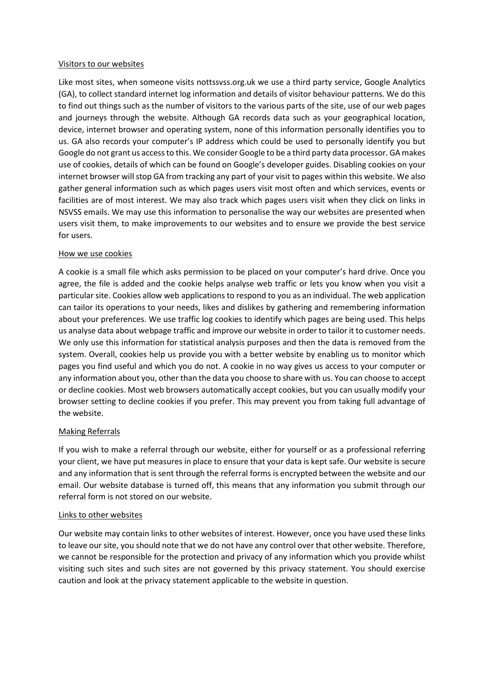#### Visitors to our websites

Like most sites, when someone visits nottssvss.org.uk we use a third party service, Google Analytics (GA), to collect standard internet log information and details of visitor behaviour patterns. We do this to find out things such as the number of visitors to the various parts of the site, use of our web pages and journeys through the website. Although GA records data such as your geographical location, device, internet browser and operating system, none of this information personally identifies you to us. GA also records your computer's IP address which could be used to personally identify you but Google do not grant us access to this. We consider Google to be a third party data processor. GA makes use of cookies, details of which can be found on Google's developer guides. Disabling cookies on your internet browser will stop GA from tracking any part of your visit to pages within this website. We also gather general information such as which pages users visit most often and which services, events or facilities are of most interest. We may also track which pages users visit when they click on links in NSVSS emails. We may use this information to personalise the way our websites are presented when users visit them, to make improvements to our websites and to ensure we provide the best service for users.

### How we use cookies

A cookie is a small file which asks permission to be placed on your computer's hard drive. Once you agree, the file is added and the cookie helps analyse web traffic or lets you know when you visit a particular site. Cookies allow web applications to respond to you as an individual. The web application can tailor its operations to your needs, likes and dislikes by gathering and remembering information about your preferences. We use traffic log cookies to identify which pages are being used. This helps us analyse data about webpage traffic and improve our website in order to tailor it to customer needs. We only use this information for statistical analysis purposes and then the data is removed from the system. Overall, cookies help us provide you with a better website by enabling us to monitor which pages you find useful and which you do not. A cookie in no way gives us access to your computer or any information about you, other than the data you choose to share with us. You can choose to accept or decline cookies. Most web browsers automatically accept cookies, but you can usually modify your browser setting to decline cookies if you prefer. This may prevent you from taking full advantage of the website.

### Making Referrals

If you wish to make a referral through our website, either for yourself or as a professional referring your client, we have put measures in place to ensure that your data is kept safe. Our website is secure and any information that is sent through the referral forms is encrypted between the website and our email. Our website database is turned off, this means that any information you submit through our referral form is not stored on our website.

### Links to other websites

Our website may contain links to other websites of interest. However, once you have used these links to leave our site, you should note that we do not have any control over that other website. Therefore, we cannot be responsible for the protection and privacy of any information which you provide whilst visiting such sites and such sites are not governed by this privacy statement. You should exercise caution and look at the privacy statement applicable to the website in question.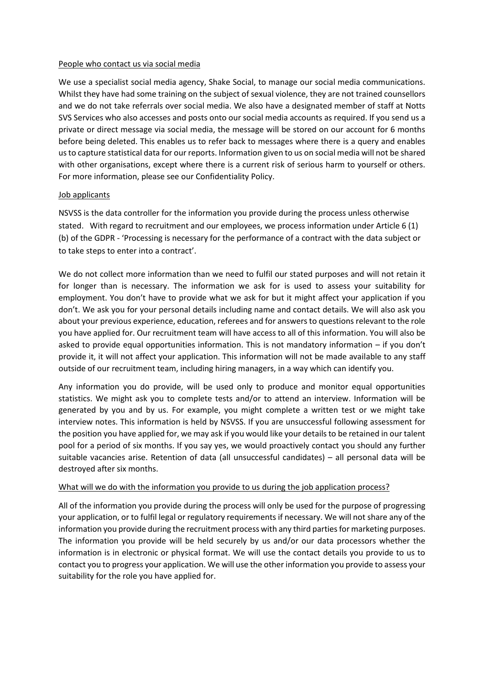#### People who contact us via social media

We use a specialist social media agency, Shake Social, to manage our social media communications. Whilst they have had some training on the subject of sexual violence, they are not trained counsellors and we do not take referrals over social media. We also have a designated member of staff at Notts SVS Services who also accesses and posts onto our social media accounts as required. If you send us a private or direct message via social media, the message will be stored on our account for 6 months before being deleted. This enables us to refer back to messages where there is a query and enables us to capture statistical data for our reports. Information given to us on social media will not be shared with other organisations, except where there is a current risk of serious harm to yourself or others. For more information, please see our Confidentiality Policy.

### Job applicants

NSVSS is the data controller for the information you provide during the process unless otherwise stated. With regard to recruitment and our employees, we process information under Article 6 (1) (b) of the GDPR - 'Processing is necessary for the performance of a contract with the data subject or to take steps to enter into a contract'.

We do not collect more information than we need to fulfil our stated purposes and will not retain it for longer than is necessary. The information we ask for is used to assess your suitability for employment. You don't have to provide what we ask for but it might affect your application if you don't. We ask you for your personal details including name and contact details. We will also ask you about your previous experience, education, referees and for answers to questions relevant to the role you have applied for. Our recruitment team will have access to all of this information. You will also be asked to provide equal opportunities information. This is not mandatory information – if you don't provide it, it will not affect your application. This information will not be made available to any staff outside of our recruitment team, including hiring managers, in a way which can identify you.

Any information you do provide, will be used only to produce and monitor equal opportunities statistics. We might ask you to complete tests and/or to attend an interview. Information will be generated by you and by us. For example, you might complete a written test or we might take interview notes. This information is held by NSVSS. If you are unsuccessful following assessment for the position you have applied for, we may ask if you would like your details to be retained in our talent pool for a period of six months. If you say yes, we would proactively contact you should any further suitable vacancies arise. Retention of data (all unsuccessful candidates) – all personal data will be destroyed after six months.

### What will we do with the information you provide to us during the job application process?

All of the information you provide during the process will only be used for the purpose of progressing your application, or to fulfil legal or regulatory requirements if necessary. We will not share any of the information you provide during the recruitment process with any third parties for marketing purposes. The information you provide will be held securely by us and/or our data processors whether the information is in electronic or physical format. We will use the contact details you provide to us to contact you to progress your application. We will use the other information you provide to assess your suitability for the role you have applied for.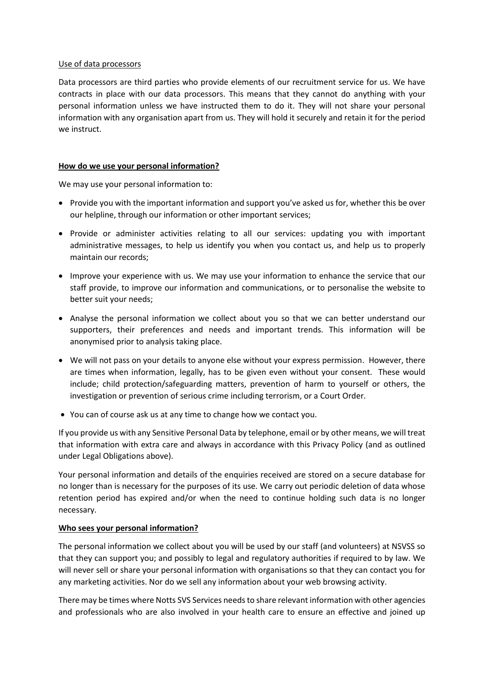#### Use of data processors

Data processors are third parties who provide elements of our recruitment service for us. We have contracts in place with our data processors. This means that they cannot do anything with your personal information unless we have instructed them to do it. They will not share your personal information with any organisation apart from us. They will hold it securely and retain it for the period we instruct.

### **How do we use your personal information?**

We may use your personal information to:

- Provide you with the important information and support you've asked us for, whether this be over our helpline, through our information or other important services;
- Provide or administer activities relating to all our services: updating you with important administrative messages, to help us identify you when you contact us, and help us to properly maintain our records;
- Improve your experience with us. We may use your information to enhance the service that our staff provide, to improve our information and communications, or to personalise the website to better suit your needs;
- Analyse the personal information we collect about you so that we can better understand our supporters, their preferences and needs and important trends. This information will be anonymised prior to analysis taking place.
- We will not pass on your details to anyone else without your express permission. However, there are times when information, legally, has to be given even without your consent. These would include; child protection/safeguarding matters, prevention of harm to yourself or others, the investigation or prevention of serious crime including terrorism, or a Court Order.
- You can of course ask us at any time to change how we contact you.

If you provide us with any Sensitive Personal Data by telephone, email or by other means, we will treat that information with extra care and always in accordance with this Privacy Policy (and as outlined under Legal Obligations above).

Your personal information and details of the enquiries received are stored on a secure database for no longer than is necessary for the purposes of its use. We carry out periodic deletion of data whose retention period has expired and/or when the need to continue holding such data is no longer necessary.

### **Who sees your personal information?**

The personal information we collect about you will be used by our staff (and volunteers) at NSVSS so that they can support you; and possibly to legal and regulatory authorities if required to by law. We will never sell or share your personal information with organisations so that they can contact you for any marketing activities. Nor do we sell any information about your web browsing activity.

There may be times where Notts SVS Services needs to share relevant information with other agencies and professionals who are also involved in your health care to ensure an effective and joined up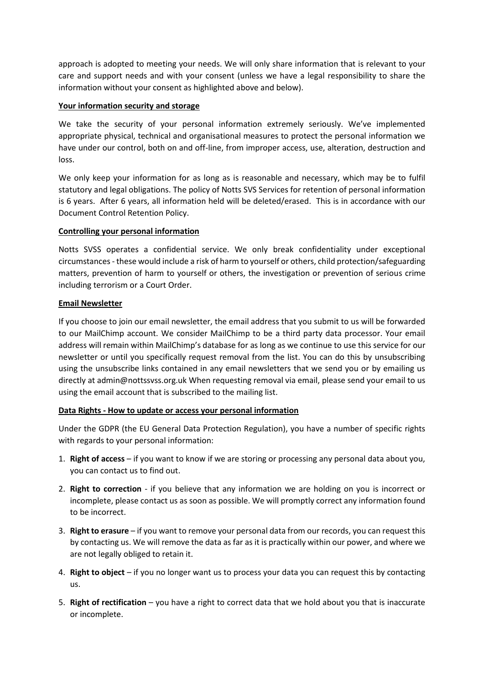approach is adopted to meeting your needs. We will only share information that is relevant to your care and support needs and with your consent (unless we have a legal responsibility to share the information without your consent as highlighted above and below).

## **Your information security and storage**

We take the security of your personal information extremely seriously. We've implemented appropriate physical, technical and organisational measures to protect the personal information we have under our control, both on and off-line, from improper access, use, alteration, destruction and loss.

We only keep your information for as long as is reasonable and necessary, which may be to fulfil statutory and legal obligations. The policy of Notts SVS Services for retention of personal information is 6 years. After 6 years, all information held will be deleted/erased. This is in accordance with our Document Control Retention Policy.

## **Controlling your personal information**

Notts SVSS operates a confidential service. We only break confidentiality under exceptional circumstances - these would include a risk of harm to yourself or others, child protection/safeguarding matters, prevention of harm to yourself or others, the investigation or prevention of serious crime including terrorism or a Court Order.

## **Email Newsletter**

If you choose to join our email newsletter, the email address that you submit to us will be forwarded to our MailChimp account. We consider MailChimp to be a third party data processor. Your email address will remain within MailChimp's database for as long as we continue to use this service for our newsletter or until you specifically request removal from the list. You can do this by unsubscribing using the unsubscribe links contained in any email newsletters that we send you or by emailing us directly at admin@nottssvss.org.uk When requesting removal via email, please send your email to us using the email account that is subscribed to the mailing list.

### **Data Rights - How to update or access your personal information**

Under the GDPR (the EU General Data Protection Regulation), you have a number of specific rights with regards to your personal information:

- 1. **Right of access** if you want to know if we are storing or processing any personal data about you, you can contact us to find out.
- 2. **Right to correction** if you believe that any information we are holding on you is incorrect or incomplete, please contact us as soon as possible. We will promptly correct any information found to be incorrect.
- 3. **Right to erasure** if you want to remove your personal data from our records, you can request this by contacting us. We will remove the data as far as it is practically within our power, and where we are not legally obliged to retain it.
- 4. **Right to object**  if you no longer want us to process your data you can request this by contacting us.
- 5. **Right of rectification** you have a right to correct data that we hold about you that is inaccurate or incomplete.